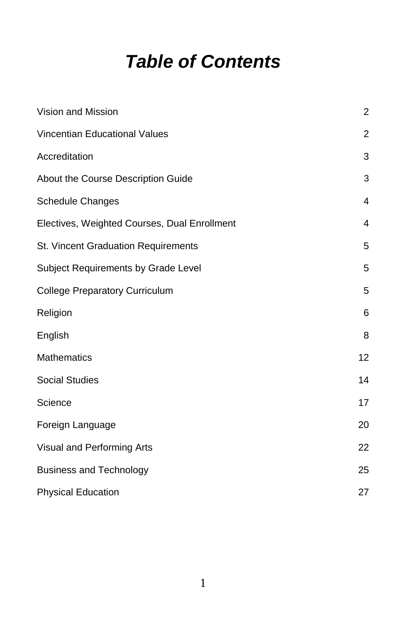# *Table of Contents*

| Vision and Mission                           | $\boldsymbol{2}$ |
|----------------------------------------------|------------------|
| Vincentian Educational Values                | $\overline{2}$   |
| Accreditation                                | 3                |
| About the Course Description Guide           | 3                |
| Schedule Changes                             | $\overline{4}$   |
| Electives, Weighted Courses, Dual Enrollment | $\overline{4}$   |
| St. Vincent Graduation Requirements          | 5                |
| Subject Requirements by Grade Level          | 5                |
| <b>College Preparatory Curriculum</b>        | 5                |
| Religion                                     | 6                |
| English                                      | 8                |
| <b>Mathematics</b>                           | 12               |
| <b>Social Studies</b>                        | 14               |
| Science                                      | 17               |
| Foreign Language                             | 20               |
| Visual and Performing Arts                   | 22               |
| <b>Business and Technology</b>               | 25               |
| <b>Physical Education</b>                    | 27               |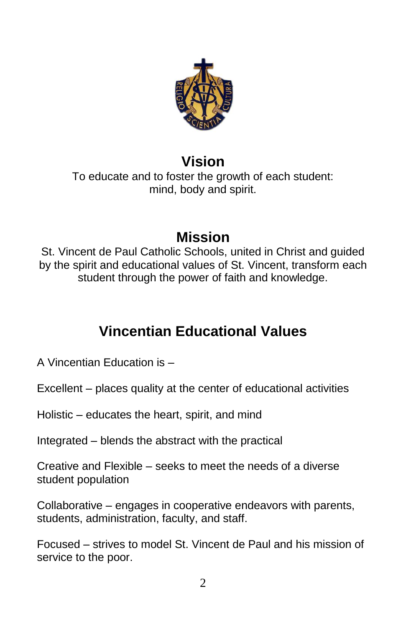

## **Vision**

To educate and to foster the growth of each student: mind, body and spirit.

## **Mission**

St. Vincent de Paul Catholic Schools, united in Christ and guided by the spirit and educational values of St. Vincent, transform each student through the power of faith and knowledge.

## **Vincentian Educational Values**

A Vincentian Education is –

Excellent – places quality at the center of educational activities

Holistic – educates the heart, spirit, and mind

Integrated – blends the abstract with the practical

Creative and Flexible – seeks to meet the needs of a diverse student population

Collaborative – engages in cooperative endeavors with parents, students, administration, faculty, and staff.

Focused – strives to model St. Vincent de Paul and his mission of service to the poor.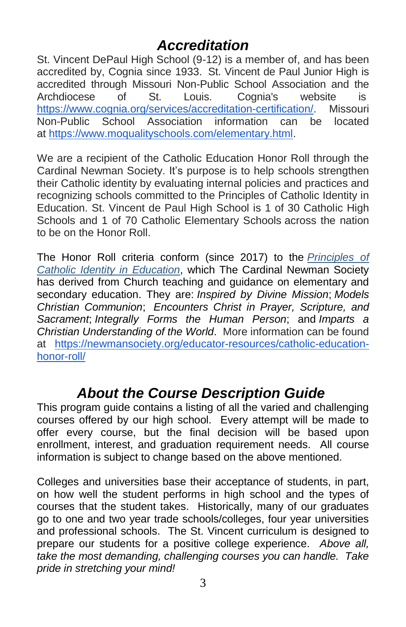## *Accreditation*

St. Vincent DePaul High School (9-12) is a member of, and has been accredited by, Cognia since 1933. St. Vincent de Paul Junior High is accredited through Missouri Non-Public School Association and the Archdiocese of St. Louis. Cognia's website is [https://www.cognia.org/services/accreditation-certification/.](https://www.cognia.org/services/accreditation-certification/) Missouri Non-Public School Association information can be located at [https://www.moqualityschools.com/elementary.html.](https://www.moqualityschools.com/elementary.html)

We are a recipient of the Catholic Education Honor Roll through the Cardinal Newman Society. It's purpose is to help schools strengthen their Catholic identity by evaluating internal policies and practices and recognizing schools committed to the Principles of Catholic Identity in Education. St. Vincent de Paul High School is 1 of 30 Catholic High Schools and 1 of 70 Catholic Elementary Schools across the nation to be on the Honor Roll.

The Honor Roll criteria conform (since 2017) to the *[Principles](https://newmansociety.org/program/principles/) of Catholic Identity in [Education](https://newmansociety.org/program/principles/)*, which The Cardinal Newman Society has derived from Church teaching and guidance on elementary and secondary education. They are: *Inspired by Divine Mission*; *Models Christian Communion*; *Encounters Christ in Prayer, Scripture, and Sacrament*; *Integrally Forms the Human Person*; and *Imparts a Christian Understanding of the World*. More information can be found at [https://newmansociety.org/educator-resources/catholic-education](https://newmansociety.org/educator-resources/catholic-education-honor-roll/)[honor-roll/](https://newmansociety.org/educator-resources/catholic-education-honor-roll/)

## *About the Course Description Guide*

This program guide contains a listing of all the varied and challenging courses offered by our high school. Every attempt will be made to offer every course, but the final decision will be based upon enrollment, interest, and graduation requirement needs. All course information is subject to change based on the above mentioned.

Colleges and universities base their acceptance of students, in part, on how well the student performs in high school and the types of courses that the student takes. Historically, many of our graduates go to one and two year trade schools/colleges, four year universities and professional schools. The St. Vincent curriculum is designed to prepare our students for a positive college experience. *Above all, take the most demanding, challenging courses you can handle. Take pride in stretching your mind!*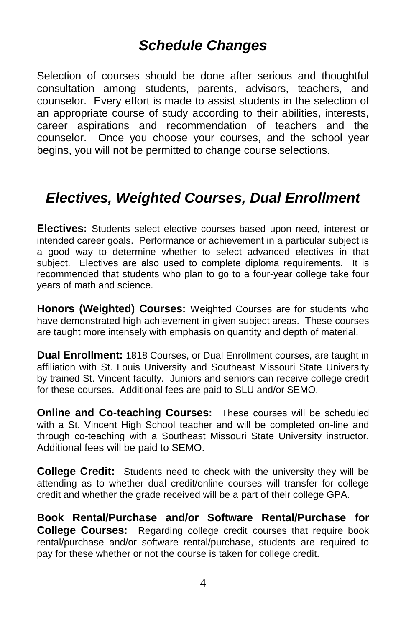## *Schedule Changes*

Selection of courses should be done after serious and thoughtful consultation among students, parents, advisors, teachers, and counselor. Every effort is made to assist students in the selection of an appropriate course of study according to their abilities, interests, career aspirations and recommendation of teachers and the counselor. Once you choose your courses, and the school year begins, you will not be permitted to change course selections.

## *Electives, Weighted Courses, Dual Enrollment*

**Electives:** Students select elective courses based upon need, interest or intended career goals. Performance or achievement in a particular subject is a good way to determine whether to select advanced electives in that subject. Electives are also used to complete diploma requirements. It is recommended that students who plan to go to a four-year college take four years of math and science.

**Honors (Weighted) Courses:** Weighted Courses are for students who have demonstrated high achievement in given subject areas. These courses are taught more intensely with emphasis on quantity and depth of material.

**Dual Enrollment:** 1818 Courses, or Dual Enrollment courses, are taught in affiliation with St. Louis University and Southeast Missouri State University by trained St. Vincent faculty. Juniors and seniors can receive college credit for these courses. Additional fees are paid to SLU and/or SEMO.

**Online and Co-teaching Courses:** These courses will be scheduled with a St. Vincent High School teacher and will be completed on-line and through co-teaching with a Southeast Missouri State University instructor. Additional fees will be paid to SEMO.

**College Credit:** Students need to check with the university they will be attending as to whether dual credit/online courses will transfer for college credit and whether the grade received will be a part of their college GPA.

**Book Rental/Purchase and/or Software Rental/Purchase for College Courses:** Regarding college credit courses that require book rental/purchase and/or software rental/purchase, students are required to pay for these whether or not the course is taken for college credit.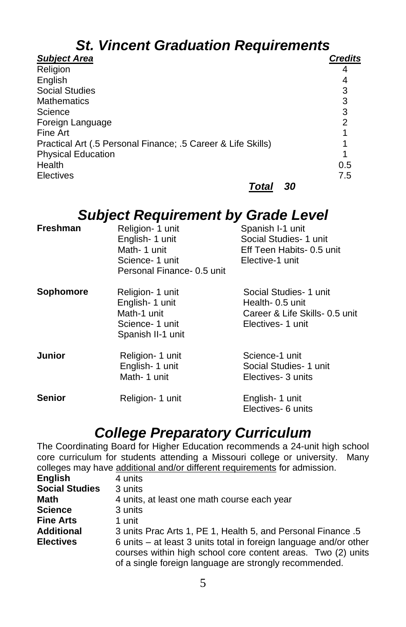# *St. Vincent Graduation Requirements*

| <b>Subject Area</b>                                          | <b>Credits</b> |
|--------------------------------------------------------------|----------------|
| Religion                                                     |                |
| English                                                      |                |
| <b>Social Studies</b>                                        |                |
| <b>Mathematics</b>                                           | 3              |
| Science                                                      | 3              |
| Foreign Language                                             | 2              |
| Fine Art                                                     |                |
| Practical Art (.5 Personal Finance; .5 Career & Life Skills) |                |
| <b>Physical Education</b>                                    |                |
| Health                                                       | 0.5            |
| <b>Electives</b>                                             | 7.5            |
| Total                                                        | 30             |

## *Subject Requirement by Grade Level*

| <b>Freshman</b> | Religion- 1 unit<br>English- 1 unit<br>Math-1 unit<br>Science- 1 unit<br>Personal Finance- 0.5 unit | Spanish I-1 unit<br>Social Studies- 1 unit<br>Eff Teen Habits- 0.5 unit<br>Elective-1 unit |
|-----------------|-----------------------------------------------------------------------------------------------------|--------------------------------------------------------------------------------------------|
| Sophomore       | Religion- 1 unit<br>English- 1 unit<br>Math-1 unit                                                  | Social Studies- 1 unit<br>Health- 0.5 unit<br>Career & Life Skills- 0.5 unit               |

|               | Science- 1 unit<br>Spanish II-1 unit               | Electives- 1 unit                                              |
|---------------|----------------------------------------------------|----------------------------------------------------------------|
| <b>Junior</b> | Religion- 1 unit<br>English- 1 unit<br>Math-1 unit | Science-1 unit<br>Social Studies- 1 unit<br>Electives- 3 units |
| <b>Senior</b> | Religion- 1 unit                                   | English- 1 unit<br>Electives- 6 units                          |

## *College Preparatory Curriculum*

The Coordinating Board for Higher Education recommends a 24-unit high school core curriculum for students attending a Missouri college or university. Many colleges may have additional and/or different requirements for admission.

| <b>English</b>        | 4 units                                                                                                                                                                                     |
|-----------------------|---------------------------------------------------------------------------------------------------------------------------------------------------------------------------------------------|
| <b>Social Studies</b> | 3 units                                                                                                                                                                                     |
| <b>Math</b>           | 4 units, at least one math course each year                                                                                                                                                 |
| <b>Science</b>        | 3 units                                                                                                                                                                                     |
| <b>Fine Arts</b>      | 1 unit                                                                                                                                                                                      |
| <b>Additional</b>     | 3 units Prac Arts 1, PE 1, Health 5, and Personal Finance .5                                                                                                                                |
| <b>Electives</b>      | 6 units - at least 3 units total in foreign language and/or other<br>courses within high school core content areas. Two (2) units<br>of a single foreign language are strongly recommended. |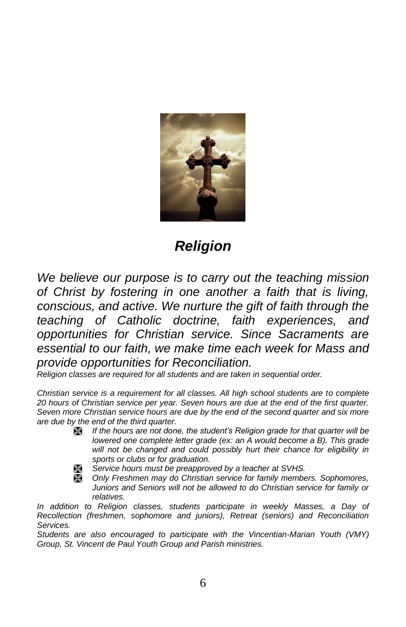

## *Religion*

*We believe our purpose is to carry out the teaching mission of Christ by fostering in one another a faith that is living, conscious, and active. We nurture the gift of faith through the teaching of Catholic doctrine, faith experiences, and opportunities for Christian service. Since Sacraments are essential to our faith, we make time each week for Mass and provide opportunities for Reconciliation.*

*Religion classes are required for all students and are taken in sequential order.* 

*Christian service is a requirement for all classes. All high school students are to complete 20 hours of Christian service per year. Seven hours are due at the end of the first quarter. Seven more Christian service hours are due by the end of the second quarter and six more are due by the end of the third quarter.* 

- *If the hours are not done, the student's Religion grade for that quarter will be lowered one complete letter grade (ex: an A would become a B). This grade will not be changed and could possibly hurt their chance for eligibility in sports or clubs or for graduation.*
	- *Service hours must be preapproved by a teacher at SVHS.*
	- *Only Freshmen may do Christian service for family members. Sophomores, Juniors and Seniors will not be allowed to do Christian service for family or relatives.*

*In addition to Religion classes, students participate in weekly Masses, a Day of Recollection (freshmen, sophomore and juniors), Retreat (seniors) and Reconciliation Services.* 

*Students are also encouraged to participate with the Vincentian-Marian Youth (VMY) Group, St. Vincent de Paul Youth Group and Parish ministries.*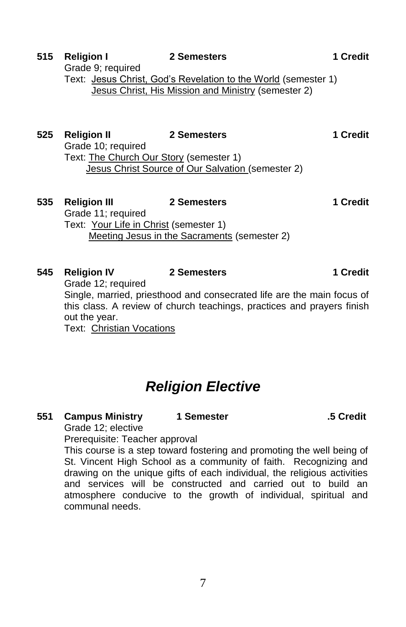## *Religion Elective*

#### **551 Campus Ministry 1 Semester .5 Credit**

Grade 12; elective Prerequisite: Teacher approval

This course is a step toward fostering and promoting the well being of St. Vincent High School as a community of faith. Recognizing and drawing on the unique gifts of each individual, the religious activities and services will be constructed and carried out to build an atmosphere conducive to the growth of individual, spiritual and communal needs.

## 7

## Grade 9; required Text: Jesus Christ, God's Revelation to the World (semester 1) Jesus Christ, His Mission and Ministry (semester 2)

## **525 Religion II 2 Semesters 1 Credit** Grade 10; required Text: The Church Our Story (semester 1) Jesus Christ Source of Our Salvation (semester 2) **535 Religion III 2 Semesters 1 Credit**

Grade 11; required Text: Your Life in Christ (semester 1) Meeting Jesus in the Sacraments (semester 2)

## **545 Religion IV 2 Semesters 1 Credit** Grade 12; required

Single, married, priesthood and consecrated life are the main focus of this class. A review of church teachings, practices and prayers finish out the year.

Text: Christian Vocations

**515 Religion I 2 Semesters 1 Credit**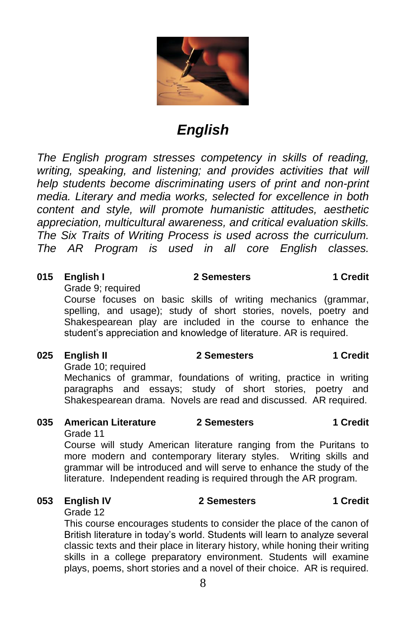

## *English*

*The English program stresses competency in skills of reading, writing, speaking, and listening; and provides activities that will help students become discriminating users of print and non-print media. Literary and media works, selected for excellence in both content and style, will promote humanistic attitudes, aesthetic appreciation, multicultural awareness, and critical evaluation skills. The Six Traits of Writing Process is used across the curriculum. The AR Program is used in all core English classes.*

#### **015 English I 2 Semesters 1 Credit**

Grade 9; required

Course focuses on basic skills of writing mechanics (grammar, spelling, and usage); study of short stories, novels, poetry and Shakespearean play are included in the course to enhance the student's appreciation and knowledge of literature. AR is required.

#### **025 English II 2 Semesters 1 Credit**

Grade 10; required

Mechanics of grammar, foundations of writing, practice in writing paragraphs and essays; study of short stories, poetry and Shakespearean drama. Novels are read and discussed. AR required.

### **035 American Literature 2 Semesters 1 Credit**

Grade 11

Course will study American literature ranging from the Puritans to more modern and contemporary literary styles. Writing skills and grammar will be introduced and will serve to enhance the study of the literature. Independent reading is required through the AR program.

#### **053 English IV 2 Semesters 1 Credit**

Grade 12

This course encourages students to consider the place of the canon of British literature in today's world. Students will learn to analyze several classic texts and their place in literary history, while honing their writing skills in a college preparatory environment. Students will examine plays, poems, short stories and a novel of their choice. AR is required.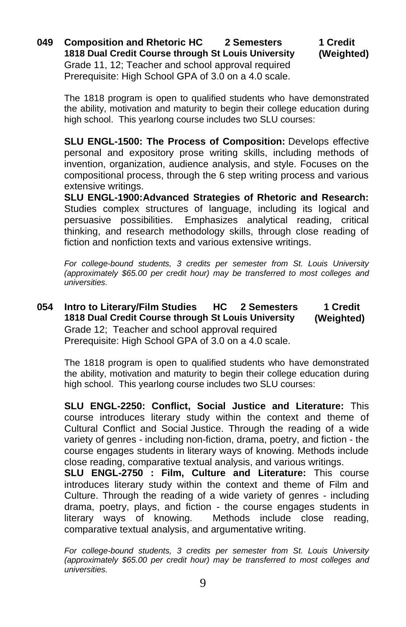**049 Composition and Rhetoric HC 2 Semesters 1 Credit 1818 Dual Credit Course through St Louis University (Weighted)** Grade 11, 12; Teacher and school approval required Prerequisite: High School GPA of 3.0 on a 4.0 scale.

The 1818 program is open to qualified students who have demonstrated the ability, motivation and maturity to begin their college education during high school. This yearlong course includes two SLU courses:

**SLU ENGL-1500: The Process of Composition:** Develops effective personal and expository prose writing skills, including methods of invention, organization, audience analysis, and style. Focuses on the compositional process, through the 6 step writing process and various extensive writings.

**SLU ENGL-1900:Advanced Strategies of Rhetoric and Research:**  Studies complex structures of language, including its logical and persuasive possibilities. Emphasizes analytical reading, critical thinking, and research methodology skills, through close reading of fiction and nonfiction texts and various extensive writings.

*For college-bound students, 3 credits per semester from St. Louis University (approximately \$65.00 per credit hour) may be transferred to most colleges and universities.*

**054 Intro to Literary/Film Studies HC 2 Semesters 1 Credit 1818 Dual Credit Course through St Louis University (Weighted)** Grade 12; Teacher and school approval required Prerequisite: High School GPA of 3.0 on a 4.0 scale.

The 1818 program is open to qualified students who have demonstrated the ability, motivation and maturity to begin their college education during high school. This yearlong course includes two SLU courses:

**SLU ENGL-2250: Conflict, Social Justice and Literature:** This course introduces literary study within the context and theme of Cultural Conflict and Social Justice. Through the reading of a wide variety of genres - including non-fiction, drama, poetry, and fiction - the course engages students in literary ways of knowing. Methods include close reading, comparative textual analysis, and various writings.

**SLU ENGL-2750 : Film, Culture and Literature:** This course introduces literary study within the context and theme of Film and Culture. Through the reading of a wide variety of genres - including drama, poetry, plays, and fiction - the course engages students in literary ways of knowing. Methods include close reading, comparative textual analysis, and argumentative writing.

*For college-bound students, 3 credits per semester from St. Louis University (approximately \$65.00 per credit hour) may be transferred to most colleges and universities.*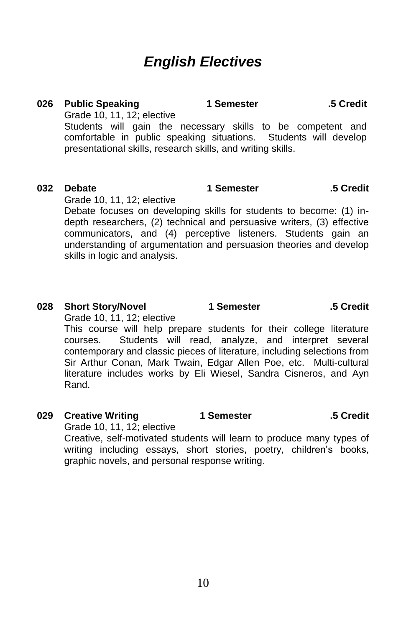## *English Electives*

#### **026 Public Speaking 1 Semester .5 Credit** Grade 10, 11, 12; elective Students will gain the necessary skills to be competent and comfortable in public speaking situations. Students will develop

presentational skills, research skills, and writing skills.

#### **032 Debate 1 Semester .5 Credit** Grade 10, 11, 12; elective

Debate focuses on developing skills for students to become: (1) indepth researchers, (2) technical and persuasive writers, (3) effective communicators, and (4) perceptive listeners. Students gain an understanding of argumentation and persuasion theories and develop skills in logic and analysis.

### **028 Short Story/Novel 1 Semester .5 Credit**

Grade 10, 11, 12; elective

This course will help prepare students for their college literature courses. Students will read, analyze, and interpret several contemporary and classic pieces of literature, including selections from Sir Arthur Conan, Mark Twain, Edgar Allen Poe, etc. Multi-cultural literature includes works by Eli Wiesel, Sandra Cisneros, and Ayn Rand.

### **029 Creative Writing 1 Semester .5 Credit**

Grade 10, 11, 12; elective Creative, self-motivated students will learn to produce many types of writing including essays, short stories, poetry, children's books, graphic novels, and personal response writing.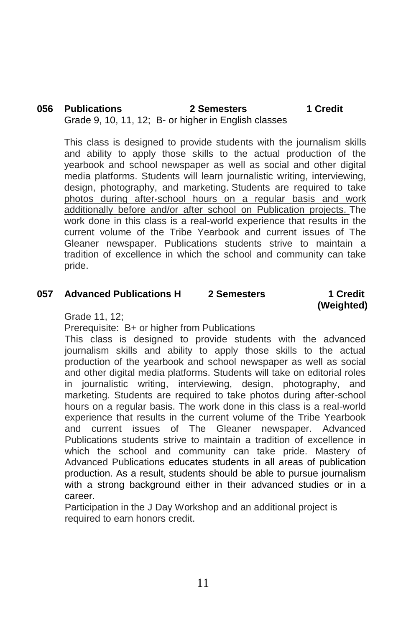#### **056 Publications 2 Semesters 1 Credit** Grade 9, 10, 11, 12; B- or higher in English classes

This class is designed to provide students with the journalism skills and ability to apply those skills to the actual production of the yearbook and school newspaper as well as social and other digital media platforms. Students will learn journalistic writing, interviewing, design, photography, and marketing. Students are required to take photos during after-school hours on a regular basis and work additionally before and/or after school on Publication projects. The work done in this class is a real-world experience that results in the current volume of the Tribe Yearbook and current issues of The Gleaner newspaper. Publications students strive to maintain a tradition of excellence in which the school and community can take pride.

#### **057 Advanced Publications H 2 Semesters 1 Credit**

 **(Weighted)**

Grade 11, 12;

Prerequisite: B+ or higher from Publications

This class is designed to provide students with the advanced journalism skills and ability to apply those skills to the actual production of the yearbook and school newspaper as well as social and other digital media platforms. Students will take on editorial roles in journalistic writing, interviewing, design, photography, and marketing. Students are required to take photos during after-school hours on a regular basis. The work done in this class is a real-world experience that results in the current volume of the Tribe Yearbook and current issues of The Gleaner newspaper. Advanced Publications students strive to maintain a tradition of excellence in which the school and community can take pride. Mastery of Advanced Publications educates students in all areas of publication production. As a result, students should be able to pursue journalism with a strong background either in their advanced studies or in a career.

Participation in the J Day Workshop and an additional project is required to earn honors credit.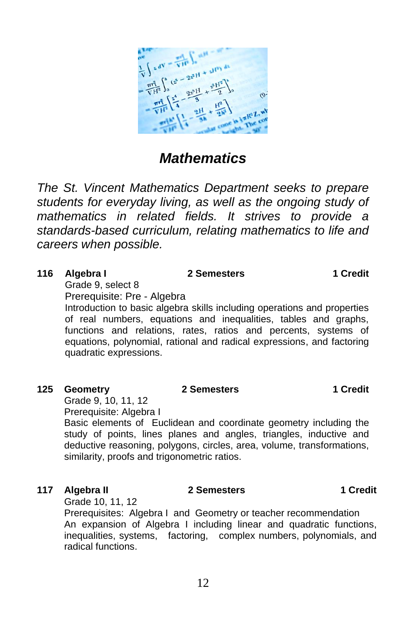

*The St. Vincent Mathematics Department seeks to prepare students for everyday living, as well as the ongoing study of mathematics in related fields. It strives to provide a standards-based curriculum, relating mathematics to life and careers when possible.*

| 116 | Algebra I                   | 2 Semesters                                                              | 1 Credit |
|-----|-----------------------------|--------------------------------------------------------------------------|----------|
|     | Grade 9. select 8           |                                                                          |          |
|     | Prereguisite: Pre - Algebra |                                                                          |          |
|     |                             | Introduction to basic algebra skills including operations and properties |          |

of real numbers, equations and inequalities, tables and graphs, functions and relations, rates, ratios and percents, systems of equations, polynomial, rational and radical expressions, and factoring quadratic expressions.

#### **125 Geometry**

### **2 Semesters 1 Credit**

Grade 9, 10, 11, 12 Prerequisite: Algebra I

Basic elements of Euclidean and coordinate geometry including the study of points, lines planes and angles, triangles, inductive and deductive reasoning, polygons, circles, area, volume, transformations, similarity, proofs and trigonometric ratios.

### **117 Algebra II 2 Semesters 1 Credit**

Grade 10, 11, 12

Prerequisites: Algebra I and Geometry or teacher recommendation An expansion of Algebra I including linear and quadratic functions, inequalities, systems, factoring, complex numbers, polynomials, and radical functions.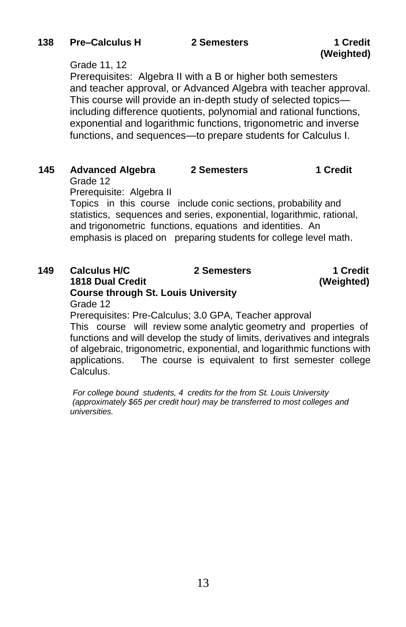# **(Weighted)**

#### Grade 11, 12

Prerequisites: Algebra II with a B or higher both semesters and teacher approval, or Advanced Algebra with teacher approval. This course will provide an in-depth study of selected topics including difference quotients, polynomial and rational functions, exponential and logarithmic functions, trigonometric and inverse functions, and sequences—to prepare students for Calculus I.

| 145 | <b>Advanced Algebra</b>  | 2 Semesters                                                                                                                                                                                                                                                             | 1 Credit |
|-----|--------------------------|-------------------------------------------------------------------------------------------------------------------------------------------------------------------------------------------------------------------------------------------------------------------------|----------|
|     | Grade 12                 |                                                                                                                                                                                                                                                                         |          |
|     | Prerequisite: Algebra II |                                                                                                                                                                                                                                                                         |          |
|     |                          | Topics in this course include conic sections, probability and<br>statistics, sequences and series, exponential, logarithmic, rational,<br>and trigonometric functions, equations and identities. An<br>emphasis is placed on preparing students for college level math. |          |

| 149 | <b>Calculus H/C</b>                        | 2 Semesters                                            | 1 Credit   |
|-----|--------------------------------------------|--------------------------------------------------------|------------|
|     | <b>1818 Dual Credit</b>                    |                                                        | (Weighted) |
|     | <b>Course through St. Louis University</b> |                                                        |            |
|     | Grade 12                                   |                                                        |            |
|     |                                            | Proroquisitos: Pro-Calculus: 3.0 CPA, Topobor approval |            |

Prerequisites: Pre-Calculus; 3.0 GPA, Teacher approval This course will review some analytic geometry and properties of functions and will develop the study of limits, derivatives and integrals of algebraic, trigonometric, exponential, and logarithmic functions with applications. The course is equivalent to first semester college Calculus.

*For college bound students, 4 credits for the from St. Louis University (approximately \$65 per credit hour) may be transferred to most colleges and universities.*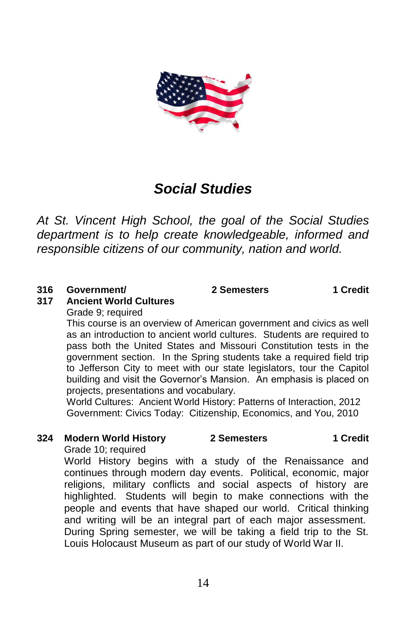

## *Social Studies*

*At St. Vincent High School, the goal of the Social Studies department is to help create knowledgeable, informed and responsible citizens of our community, nation and world.*

#### **316 Government/**

**2 Semesters 1 Credit**

#### **317 Ancient World Cultures**

Grade 9; required

This course is an overview of American government and civics as well as an introduction to ancient world cultures. Students are required to pass both the United States and Missouri Constitution tests in the government section. In the Spring students take a required field trip to Jefferson City to meet with our state legislators, tour the Capitol building and visit the Governor's Mansion. An emphasis is placed on projects, presentations and vocabulary.

World Cultures: Ancient World History: Patterns of Interaction, 2012 Government: Civics Today: Citizenship, Economics, and You, 2010

## **324 Modern World History 2 Semesters 1 Credit**

Grade 10; required

World History begins with a study of the Renaissance and continues through modern day events. Political, economic, major religions, military conflicts and social aspects of history are highlighted. Students will begin to make connections with the people and events that have shaped our world. Critical thinking and writing will be an integral part of each major assessment. During Spring semester, we will be taking a field trip to the St. Louis Holocaust Museum as part of our study of World War II.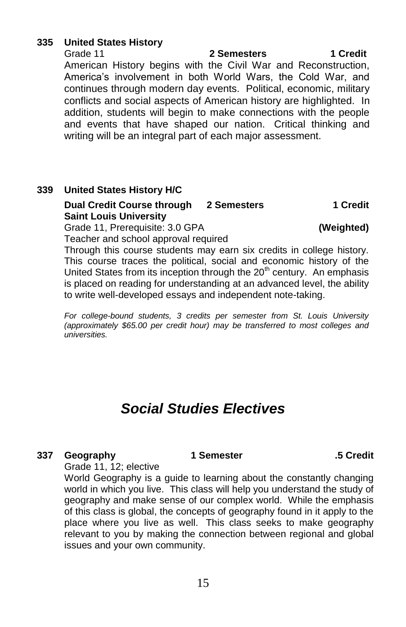#### **335 United States History**

Grade 11 **2 Semesters 1 Credit** American History begins with the Civil War and Reconstruction, America's involvement in both World Wars, the Cold War, and continues through modern day events. Political, economic, military conflicts and social aspects of American history are highlighted. In addition, students will begin to make connections with the people and events that have shaped our nation. Critical thinking and writing will be an integral part of each major assessment.

#### **339 United States History H/C**

#### **Dual Credit Course through 2 Semesters 1 Credit Saint Louis University**

Grade 11, Prerequisite: 3.0 GPA **(Weighted)** Teacher and school approval required

Through this course students may earn six credits in college history. This course traces the political, social and economic history of the United States from its inception through the  $20<sup>th</sup>$  century. An emphasis is placed on reading for understanding at an advanced level, the ability to write well-developed essays and independent note-taking.

*For college-bound students, 3 credits per semester from St. Louis University (approximately \$65.00 per credit hour) may be transferred to most colleges and universities.*

## *Social Studies Electives*

#### **337 Geography 1 Semester .5 Credit**

Grade 11, 12; elective

World Geography is a guide to learning about the constantly changing world in which you live. This class will help you understand the study of geography and make sense of our complex world. While the emphasis of this class is global, the concepts of geography found in it apply to the place where you live as well. This class seeks to make geography relevant to you by making the connection between regional and global issues and your own community.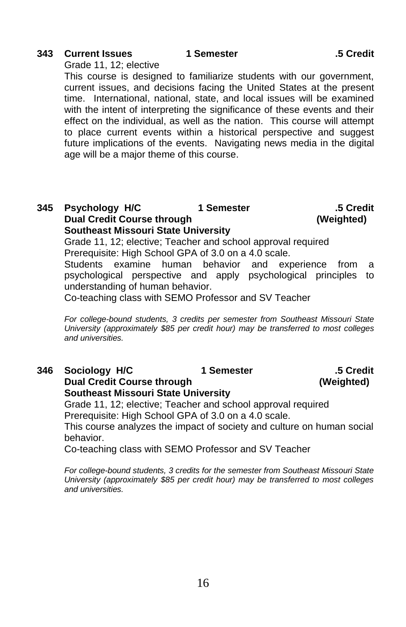### **343 Current Issues**

Grade 11, 12; elective

This course is designed to familiarize students with our government, current issues, and decisions facing the United States at the present time. International, national, state, and local issues will be examined with the intent of interpreting the significance of these events and their effect on the individual, as well as the nation. This course will attempt to place current events within a historical perspective and suggest future implications of the events. Navigating news media in the digital age will be a major theme of this course.

## **345 Psychology H/C 1 Semester .5 Credit Dual Credit Course through (Weighted) Southeast Missouri State University**

Grade 11, 12; elective; Teacher and school approval required Prerequisite: High School GPA of 3.0 on a 4.0 scale.

Students examine human behavior and experience from a psychological perspective and apply psychological principles to understanding of human behavior.

Co-teaching class with SEMO Professor and SV Teacher

*For college-bound students, 3 credits per semester from Southeast Missouri State University (approximately \$85 per credit hour) may be transferred to most colleges and universities.*

#### **346 Sociology H/C 1 Semester .5 Credit Dual Credit Course through (Weighted) Southeast Missouri State University**

Grade 11, 12; elective; Teacher and school approval required Prerequisite: High School GPA of 3.0 on a 4.0 scale.

This course analyzes the impact of society and culture on human social behavior.

Co-teaching class with SEMO Professor and SV Teacher

*For college-bound students, 3 credits for the semester from Southeast Missouri State University (approximately \$85 per credit hour) may be transferred to most colleges and universities.*

#### **1 Semester .5 Credit**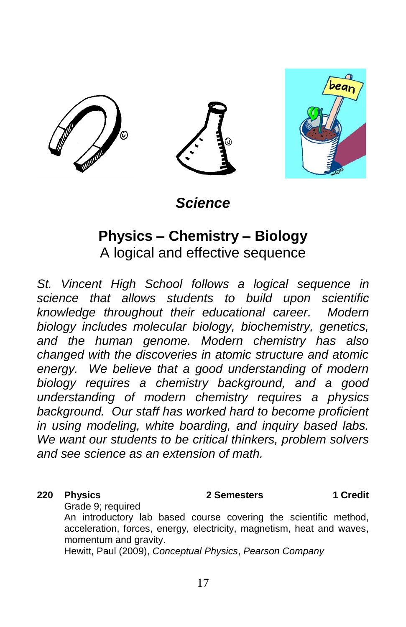

*Science*

## **Physics – Chemistry – Biology** A logical and effective sequence

*St. Vincent High School follows a logical sequence in science that allows students to build upon scientific knowledge throughout their educational career. Modern biology includes molecular biology, biochemistry, genetics, and the human genome. Modern chemistry has also changed with the discoveries in atomic structure and atomic energy. We believe that a good understanding of modern biology requires a chemistry background, and a good understanding of modern chemistry requires a physics background. Our staff has worked hard to become proficient in using modeling, white boarding, and inquiry based labs. We want our students to be critical thinkers, problem solvers and see science as an extension of math.*

#### **220 Physics 2 Semesters 1 Credit**

Grade 9; required

An introductory lab based course covering the scientific method, acceleration, forces, energy, electricity, magnetism, heat and waves, momentum and gravity.

Hewitt, Paul (2009), *Conceptual Physics*, *Pearson Company*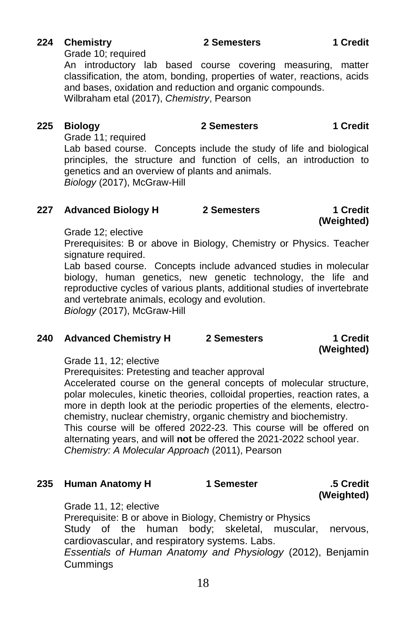#### **224 Chemistry 2 Semesters 1 Credit**

Grade 10; required

An introductory lab based course covering measuring, matter classification, the atom, bonding, properties of water, reactions, acids and bases, oxidation and reduction and organic compounds.

Wilbraham etal (2017), *Chemistry*, Pearson

**225 Biology 2 Semesters 1 Credit**

Grade 11; required

Lab based course. Concepts include the study of life and biological principles, the structure and function of cells, an introduction to genetics and an overview of plants and animals. *Biology* (2017), McGraw-Hill

#### **227 Advanced Biology H 2 Semesters 1 Credit**

**(Weighted)**

Grade 12; elective

Prerequisites: B or above in Biology, Chemistry or Physics. Teacher signature required.

Lab based course. Concepts include advanced studies in molecular biology, human genetics, new genetic technology, the life and reproductive cycles of various plants, additional studies of invertebrate and vertebrate animals, ecology and evolution. *Biology* (2017), McGraw-Hill

#### **240 Advanced Chemistry H 2 Semesters 1 Credit**

**(Weighted)**

Grade 11, 12; elective

Prerequisites: Pretesting and teacher approval

Accelerated course on the general concepts of molecular structure, polar molecules, kinetic theories, colloidal properties, reaction rates, a more in depth look at the periodic properties of the elements, electrochemistry, nuclear chemistry, organic chemistry and biochemistry. This course will be offered 2022-23. This course will be offered on alternating years, and will **not** be offered the 2021-2022 school year. *Chemistry: A Molecular Approach* (2011), Pearson

| 235 Human Anatomy H | 1 Semester | .5 Credit  |
|---------------------|------------|------------|
|                     |            | (Weighted) |

Grade 11, 12; elective

Prerequisite: B or above in Biology, Chemistry or Physics Study of the human body; skeletal, muscular, nervous, cardiovascular, and respiratory systems. Labs. *Essentials of Human Anatomy and Physiology* (2012), Benjamin **Cummings**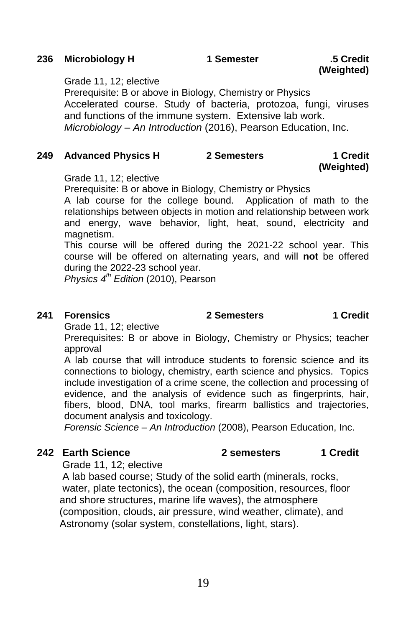### **236 Microbiology H 1 Semester .5 Credit**

#### Grade 11, 12; elective

Prerequisite: B or above in Biology, Chemistry or Physics Accelerated course. Study of bacteria, protozoa, fungi, viruses and functions of the immune system. Extensive lab work. *Microbiology – An Introduction* (2016), Pearson Education, Inc.

#### **249 Advanced Physics H 2 Semesters 1 Credit**

Grade 11, 12; elective

Prerequisite: B or above in Biology, Chemistry or Physics

A lab course for the college bound. Application of math to the relationships between objects in motion and relationship between work and energy, wave behavior, light, heat, sound, electricity and magnetism.

This course will be offered during the 2021-22 school year. This course will be offered on alternating years, and will **not** be offered during the 2022-23 school year.

*Physics 4 th Edition* (2010), Pearson

#### **241 Forensics**

Grade 11, 12; elective

Prerequisites: B or above in Biology, Chemistry or Physics; teacher approval

A lab course that will introduce students to forensic science and its connections to biology, chemistry, earth science and physics. Topics include investigation of a crime scene, the collection and processing of evidence, and the analysis of evidence such as fingerprints, hair, fibers, blood, DNA, tool marks, firearm ballistics and trajectories, document analysis and toxicology.

*Forensic Science – An Introduction* (2008), Pearson Education, Inc.

### **242 Earth Science 2 semesters 1 Credit**

Grade 11, 12; elective

 A lab based course; Study of the solid earth (minerals, rocks, water, plate tectonics), the ocean (composition, resources, floor and shore structures, marine life waves), the atmosphere (composition, clouds, air pressure, wind weather, climate), and Astronomy (solar system, constellations, light, stars).

 **2 Semesters 1 Credit**

**(Weighted)**

**(Weighted)**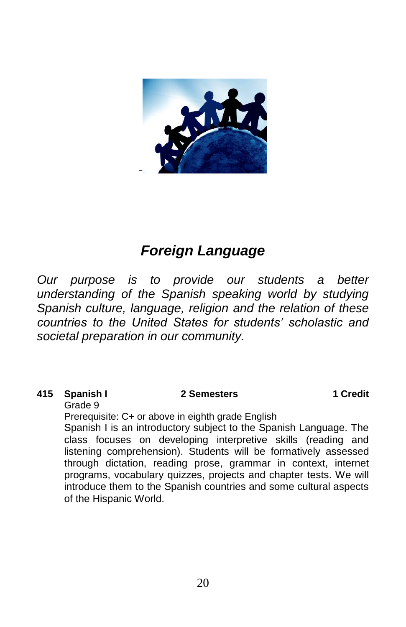

## *Foreign Language*

*Our purpose is to provide our students a better understanding of the Spanish speaking world by studying Spanish culture, language, religion and the relation of these countries to the United States for students' scholastic and societal preparation in our community.*

### **415 Spanish I 2 Semesters 1 Credit**

Grade 9

Prerequisite: C+ or above in eighth grade English

Spanish I is an introductory subject to the Spanish Language. The class focuses on developing interpretive skills (reading and listening comprehension). Students will be formatively assessed through dictation, reading prose, grammar in context, internet programs, vocabulary quizzes, projects and chapter tests. We will introduce them to the Spanish countries and some cultural aspects of the Hispanic World.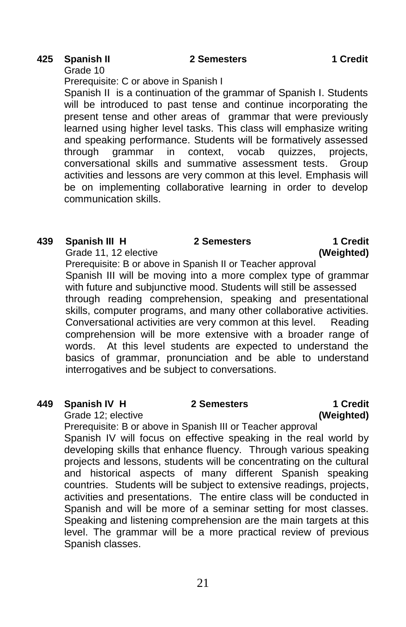#### **425 Spanish II 2 Semesters 1 Credit**

Grade 10

Prerequisite: C or above in Spanish I Spanish II is a continuation of the grammar of Spanish I. Students will be introduced to past tense and continue incorporating the present tense and other areas of grammar that were previously learned using higher level tasks. This class will emphasize writing and speaking performance. Students will be formatively assessed through grammar in context, vocab quizzes, projects, conversational skills and summative assessment tests. Group activities and lessons are very common at this level. Emphasis will be on implementing collaborative learning in order to develop communication skills.

#### **439 Spanish III H** Grade 11, 12 elective  **2 Semesters 1 Credit (Weighted)**

Prerequisite: B or above in Spanish II or Teacher approval Spanish III will be moving into a more complex type of grammar with future and subjunctive mood. Students will still be assessed through reading comprehension, speaking and presentational skills, computer programs, and many other collaborative activities. Conversational activities are very common at this level. Reading comprehension will be more extensive with a broader range of words. At this level students are expected to understand the basics of grammar, pronunciation and be able to understand interrogatives and be subject to conversations.

#### **449 Spanish IV H**

Grade 12; elective

Prerequisite: B or above in Spanish III or Teacher approval Spanish IV will focus on effective speaking in the real world by developing skills that enhance fluency. Through various speaking projects and lessons, students will be concentrating on the cultural and historical aspects of many different Spanish speaking countries. Students will be subject to extensive readings, projects, activities and presentations. The entire class will be conducted in Spanish and will be more of a seminar setting for most classes. Speaking and listening comprehension are the main targets at this level. The grammar will be a more practical review of previous Spanish classes.

 **2 Semesters 1 Credit (Weighted)**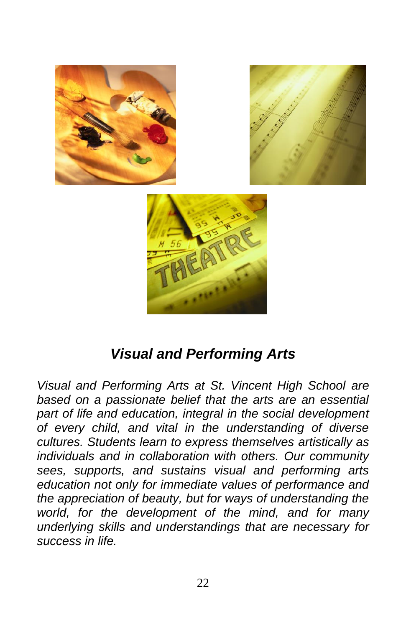

## *Visual and Performing Arts*

*Visual and Performing Arts at St. Vincent High School are based on a passionate belief that the arts are an essential part of life and education, integral in the social development of every child, and vital in the understanding of diverse cultures. Students learn to express themselves artistically as individuals and in collaboration with others. Our community sees, supports, and sustains visual and performing arts education not only for immediate values of performance and the appreciation of beauty, but for ways of understanding the world, for the development of the mind, and for many underlying skills and understandings that are necessary for success in life.*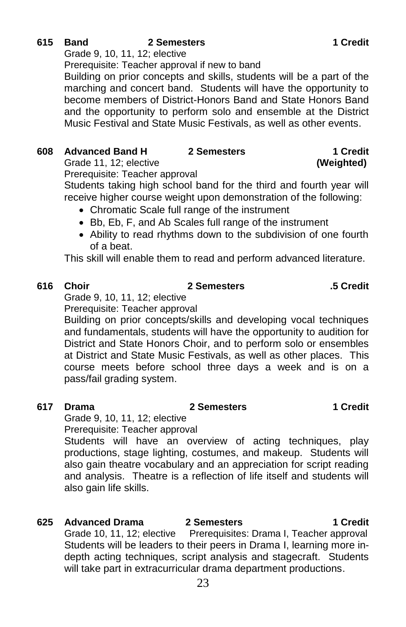## **615 Band 2 Semesters 1 Credit**

Grade 9, 10, 11, 12; elective

Prerequisite: Teacher approval if new to band

Building on prior concepts and skills, students will be a part of the marching and concert band. Students will have the opportunity to become members of District-Honors Band and State Honors Band and the opportunity to perform solo and ensemble at the District Music Festival and State Music Festivals, as well as other events.

## **608 Advanced Band H 2 Semesters 1 Credit**

Grade 11, 12; elective **(Weighted)**

Prerequisite: Teacher approval

Students taking high school band for the third and fourth year will receive higher course weight upon demonstration of the following:

- Chromatic Scale full range of the instrument
- Bb, Eb, F, and Ab Scales full range of the instrument
- Ability to read rhythms down to the subdivision of one fourth of a beat.

This skill will enable them to read and perform advanced literature.

### **616 Choir 2 Semesters .5 Credit**

Grade 9, 10, 11, 12; elective Prerequisite: Teacher approval

Building on prior concepts/skills and developing vocal techniques and fundamentals, students will have the opportunity to audition for District and State Honors Choir, and to perform solo or ensembles at District and State Music Festivals, as well as other places. This course meets before school three days a week and is on a pass/fail grading system.

### **617 Drama 2 Semesters 1 Credit**

Grade 9, 10, 11, 12; elective

Prerequisite: Teacher approval

Students will have an overview of acting techniques, play productions, stage lighting, costumes, and makeup. Students will also gain theatre vocabulary and an appreciation for script reading and analysis. Theatre is a reflection of life itself and students will also gain life skills.

### **625 Advanced Drama**

 **2 Semesters 1 Credit** Grade 10, 11, 12; elective Prerequisites: Drama I, Teacher approval Students will be leaders to their peers in Drama I, learning more indepth acting techniques, script analysis and stagecraft. Students will take part in extracurricular drama department productions.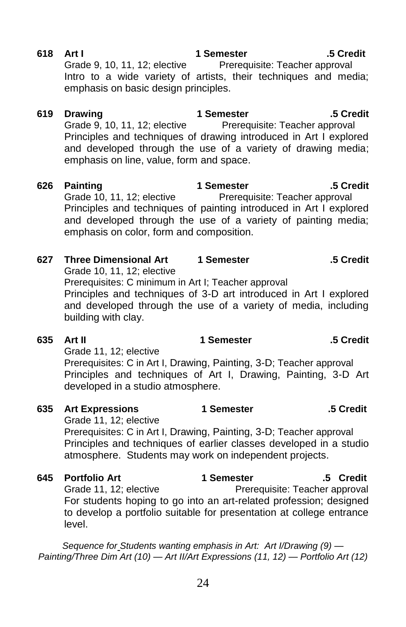| 027 | i nree Dimensional Art<br>Grade 10, 11, 12; elective                                                                                                                                                              | n semester | .5 Grean .                                  |
|-----|-------------------------------------------------------------------------------------------------------------------------------------------------------------------------------------------------------------------|------------|---------------------------------------------|
|     | Prerequisites: C minimum in Art I; Teacher approval<br>Principles and techniques of 3-D art introduced in Art I explored<br>and developed through the use of a variety of media, including<br>building with clay. |            |                                             |
| 635 | Art II                                                                                                                                                                                                            | 1 Semester | .5 Credit                                   |
|     | Grade 11, 12; elective<br>Prerequisites: C in Art I, Drawing, Painting, 3-D; Teacher approval<br>Principles and techniques of Art I, Drawing, Painting, 3-D Art<br>developed in a studio atmosphere.              |            |                                             |
| 635 | <b>Art Expressions</b><br>Grade 11, 12; elective                                                                                                                                                                  | 1 Semester | .5 Credit                                   |
|     | Prerequisites: C in Art I, Drawing, Painting, 3-D; Teacher approval<br>Principles and techniques of earlier classes developed in a studio<br>atmosphere. Students may work on independent projects.               |            |                                             |
| 645 | <b>Portfolio Art</b><br>Grade 11, 12; elective<br>For students hoping to go into an art-related profession; designed                                                                                              | 1 Semester | .5 Credit<br>Prerequisite: Teacher approval |

Grade 10, 11, 12; elective Prerequisite: Teacher approval and developed through the use of a variety of painting media; emphasis on color, form and composition.

- Principles and techniques of drawing introduced in Art I explored and developed through the use of a variety of drawing media; emphasis on line, value, form and space.
- **619 Drawing 1 Semester .5 Credit** Grade 9, 10, 11, 12; elective Prerequisite: Teacher approval

emphasis on basic design principles.

- **626 Painting 1 Semester .5 Credit** Principles and techniques of painting introduced in Art I explored
	-

## **618 Art I**

level.

 **1 Semester**

**627 Three Dimensional Art 1 Semester .5 Credit**

Grade 9, 10, 11, 12; elective Prerequisite: Teacher approval

Intro to a wide variety of artists, their techniques and media;

*Sequence for Students wanting emphasis in Art: Art I/Drawing (9) — Painting/Three Dim Art (10) — Art II/Art Expressions (11, 12) — Portfolio Art (12)*

to develop a portfolio suitable for presentation at college entrance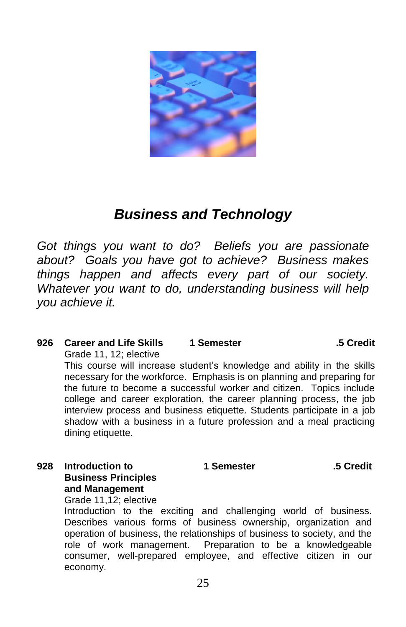

## *Business and Technology*

*Got things you want to do? Beliefs you are passionate about? Goals you have got to achieve? Business makes things happen and affects every part of our society. Whatever you want to do, understanding business will help you achieve it.*

#### **926 Career and Life Skills 1 Semester .5 Credit** Grade 11, 12; elective This course will increase student's knowledge and ability in the skills

necessary for the workforce. Emphasis is on planning and preparing for the future to become a successful worker and citizen. Topics include college and career exploration, the career planning process, the job interview process and business etiquette. Students participate in a job shadow with a business in a future profession and a meal practicing dining etiquette.

**928 Introduction to Business Principles and Management**

Grade 11,12; elective

Introduction to the exciting and challenging world of business. Describes various forms of business ownership, organization and operation of business, the relationships of business to society, and the role of work management. Preparation to be a knowledgeable consumer, well-prepared employee, and effective citizen in our economy.

 **1 Semester .5 Credit**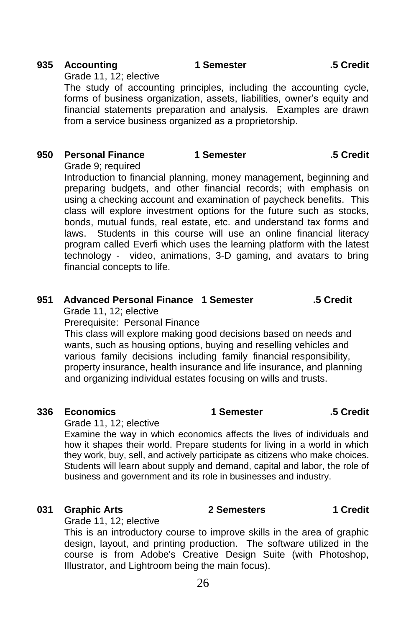#### **935 Accounting 1 Semester .5 Credit**

Grade 11, 12; elective

The study of accounting principles, including the accounting cycle, forms of business organization, assets, liabilities, owner's equity and financial statements preparation and analysis. Examples are drawn from a service business organized as a proprietorship.

### **950 Personal Finance 1 Semester .5 Credit**

Grade 9; required Introduction to financial planning, money management, beginning and preparing budgets, and other financial records; with emphasis on using a checking account and examination of paycheck benefits. This class will explore investment options for the future such as stocks, bonds, mutual funds, real estate, etc. and understand tax forms and laws. Students in this course will use an online financial literacy program called Everfi which uses the learning platform with the latest technology - video, animations, 3-D gaming, and avatars to bring financial concepts to life.

## **951 Advanced Personal Finance 1 Semester .5 Credit**

Grade 11, 12; elective Prerequisite: Personal Finance

This class will explore making good decisions based on needs and wants, such as housing options, buying and reselling vehicles and various family decisions including family financial responsibility, property insurance, health insurance and life insurance, and planning and organizing individual estates focusing on wills and trusts.

#### **336 Economics**

Grade 11, 12; elective Examine the way in which economics affects the lives of individuals and how it shapes their world. Prepare students for living in a world in which they work, buy, sell, and actively participate as citizens who make choices. Students will learn about supply and demand, capital and labor, the role of business and government and its role in businesses and industry.

#### **031 Graphic Arts 2 Semesters 1 Credit**

Grade 11, 12; elective

This is an introductory course to improve skills in the area of graphic design, layout, and printing production. The software utilized in the course is from Adobe's Creative Design Suite (with Photoshop, Illustrator, and Lightroom being the main focus).

 **1 Semester .5 Credit**